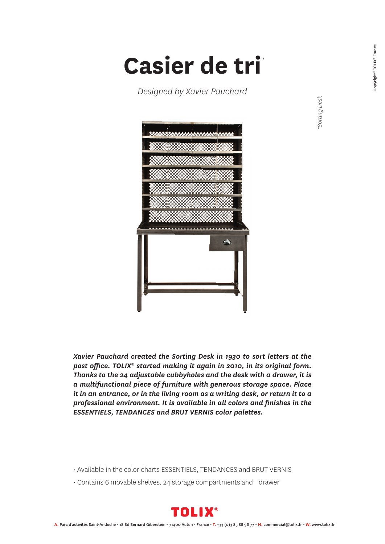*\*Sorting Desk*

Sorting Desk

## **Casier de tri** *\**

*Designed by Xavier Pauchard*



*Xavier Pauchard created the Sorting Desk in 1930 to sort letters at the post office. TOLIX® started making it again in 2010, in its original form. Thanks to the 24 adjustable cubbyholes and the desk with a drawer, it is a multifunctional piece of furniture with generous storage space. Place it in an entrance, or in the living room as a writing desk, or return it to a professional environment. It is available in all colors and finishes in the ESSENTIELS, TENDANCES and BRUT VERNIS color palettes.*

- Available in the color charts ESSENTIELS, TENDANCES and BRUT VERNIS
- Contains 6 movable shelves, 24 storage compartments and 1 drawer